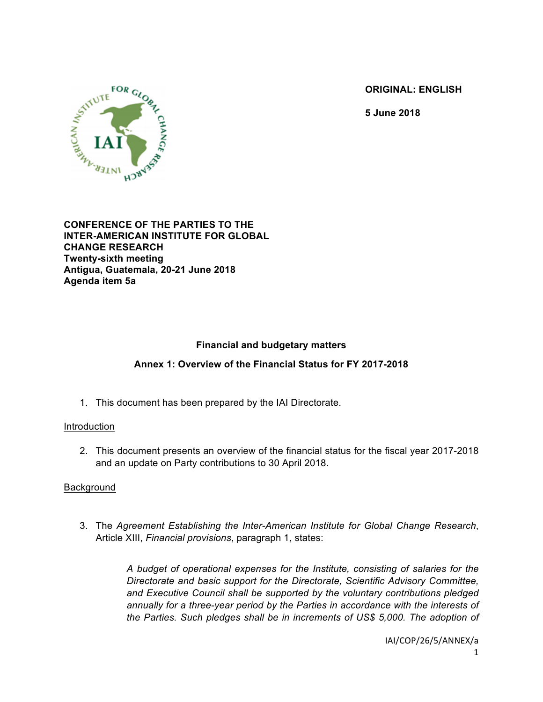**ORIGINAL: ENGLISH**

**5 June 2018**



### **CONFERENCE OF THE PARTIES TO THE INTER-AMERICAN INSTITUTE FOR GLOBAL CHANGE RESEARCH Twenty-sixth meeting Antigua, Guatemala, 20-21 June 2018 Agenda item 5a**

# **Financial and budgetary matters**

## **Annex 1: Overview of the Financial Status for FY 2017-2018**

1. This document has been prepared by the IAI Directorate.

## Introduction

2. This document presents an overview of the financial status for the fiscal year 2017-2018 and an update on Party contributions to 30 April 2018.

## Background

3. The *Agreement Establishing the Inter-American Institute for Global Change Research*, Article XIII, *Financial provisions*, paragraph 1, states:

> *A budget of operational expenses for the Institute, consisting of salaries for the Directorate and basic support for the Directorate, Scientific Advisory Committee, and Executive Council shall be supported by the voluntary contributions pledged annually for a three-year period by the Parties in accordance with the interests of the Parties. Such pledges shall be in increments of US\$ 5,000. The adoption of*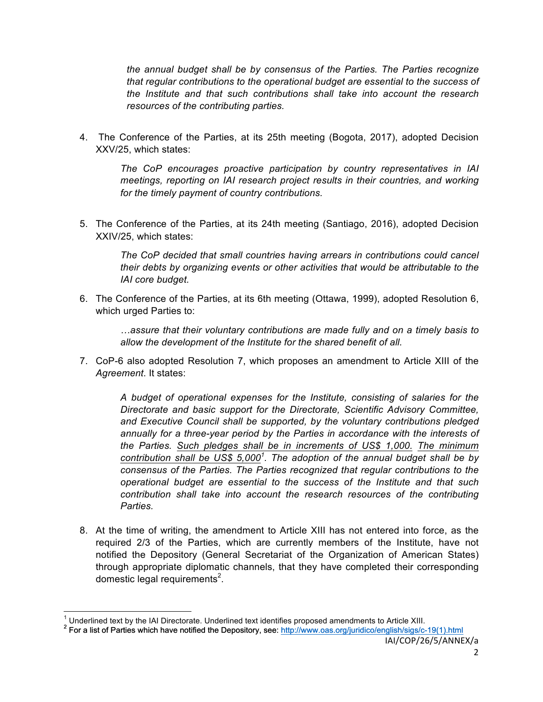*the annual budget shall be by consensus of the Parties. The Parties recognize that regular contributions to the operational budget are essential to the success of the Institute and that such contributions shall take into account the research resources of the contributing parties.*

4. The Conference of the Parties, at its 25th meeting (Bogota, 2017), adopted Decision XXV/25, which states:

*The CoP encourages proactive participation by country representatives in IAI meetings, reporting on IAI research project results in their countries, and working for the timely payment of country contributions.*

5. The Conference of the Parties, at its 24th meeting (Santiago, 2016), adopted Decision XXIV/25, which states:

*The CoP decided that small countries having arrears in contributions could cancel their debts by organizing events or other activities that would be attributable to the IAI core budget.*

6. The Conference of the Parties, at its 6th meeting (Ottawa, 1999), adopted Resolution 6, which urged Parties to:

> *…assure that their voluntary contributions are made fully and on a timely basis to allow the development of the Institute for the shared benefit of all.*

7. CoP-6 also adopted Resolution 7, which proposes an amendment to Article XIII of the *Agreement*. It states:

*A budget of operational expenses for the Institute, consisting of salaries for the Directorate and basic support for the Directorate, Scientific Advisory Committee, and Executive Council shall be supported, by the voluntary contributions pledged annually for a three-year period by the Parties in accordance with the interests of the Parties. Such pledges shall be in increments of US\$ 1,000. The minimum contribution shall be US\$ 5,000<sup>1</sup> . The adoption of the annual budget shall be by consensus of the Parties. The Parties recognized that regular contributions to the operational budget are essential to the success of the Institute and that such contribution shall take into account the research resources of the contributing Parties.*

8. At the time of writing, the amendment to Article XIII has not entered into force, as the required 2/3 of the Parties, which are currently members of the Institute, have not notified the Depository (General Secretariat of the Organization of American States) through appropriate diplomatic channels, that they have completed their corresponding domestic legal requirements<sup>2</sup>.

<sup>1</sup> Underlined text by the IAI Directorate. Underlined text identifies proposed amendments to Article XIII.<br><sup>2</sup> For a list of Parties which have notified the Depository, see: http://www.oas.org/juridico/english/sigs/c-19(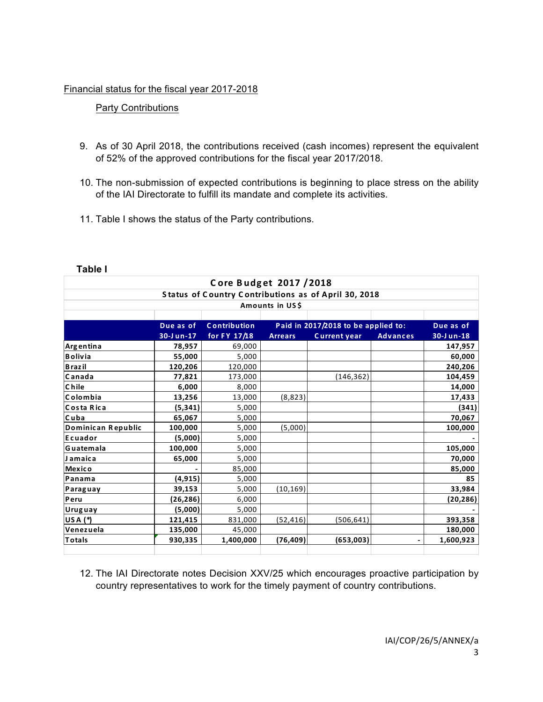## Financial status for the fiscal year 2017-2018

# Party Contributions

- 9. As of 30 April 2018, the contributions received (cash incomes) represent the equivalent of 52% of the approved contributions for the fiscal year 2017/2018.
- 10. The non-submission of expected contributions is beginning to place stress on the ability of the IAI Directorate to fulfill its mandate and complete its activities.
- 11. Table I shows the status of the Party contributions.

| Core Budget 2017 / 2018                                                 |           |                     |                                     |                     |                 |                   |  |  |  |
|-------------------------------------------------------------------------|-----------|---------------------|-------------------------------------|---------------------|-----------------|-------------------|--|--|--|
| Status of Country Contributions as of April 30, 2018<br>Amounts in US\$ |           |                     |                                     |                     |                 |                   |  |  |  |
|                                                                         |           |                     |                                     |                     |                 |                   |  |  |  |
|                                                                         | Due as of | <b>Contribution</b> | Paid in 2017/2018 to be applied to: |                     | Due as of       |                   |  |  |  |
|                                                                         | 30-Jun-17 | for FY 17/18        | <b>Arrears</b>                      | <b>Current year</b> | <b>Advances</b> | $30 - J$ un- $18$ |  |  |  |
| Argentina                                                               | 78,957    | 69,000              |                                     |                     |                 | 147,957           |  |  |  |
| <b>Bolivia</b>                                                          | 55,000    | 5,000               |                                     |                     |                 | 60,000            |  |  |  |
| <b>Brazil</b>                                                           | 120,206   | 120,000             |                                     |                     |                 | 240,206           |  |  |  |
| Canada                                                                  | 77,821    | 173,000             |                                     | (146, 362)          |                 | 104,459           |  |  |  |
| <b>Chile</b>                                                            | 6,000     | 8,000               |                                     |                     |                 | 14,000            |  |  |  |
| Colombia                                                                | 13,256    | 13,000              | (8,823)                             |                     |                 | 17,433            |  |  |  |
| Costa Rica                                                              | (5,341)   | 5,000               |                                     |                     |                 | (341)             |  |  |  |
| Cuba                                                                    | 65,067    | 5,000               |                                     |                     |                 | 70,067            |  |  |  |
| Dominican Republic                                                      | 100,000   | 5,000               | (5,000)                             |                     |                 | 100,000           |  |  |  |
| Ecuador                                                                 | (5,000)   | 5,000               |                                     |                     |                 |                   |  |  |  |
| Guatemala                                                               | 100.000   | 5,000               |                                     |                     |                 | 105,000           |  |  |  |
| <b>Jamaica</b>                                                          | 65,000    | 5,000               |                                     |                     |                 | 70,000            |  |  |  |
| <b>Mexico</b>                                                           |           | 85,000              |                                     |                     |                 | 85,000            |  |  |  |
| Panama                                                                  | (4, 915)  | 5,000               |                                     |                     |                 | 85                |  |  |  |
| Paraguay                                                                | 39,153    | 5,000               | (10, 169)                           |                     |                 | 33,984            |  |  |  |
| Peru                                                                    | (26, 286) | 6,000               |                                     |                     |                 | (20, 286)         |  |  |  |
| Uruguay                                                                 | (5,000)   | 5,000               |                                     |                     |                 |                   |  |  |  |
| USA $(*)$                                                               | 121,415   | 831,000             | (52, 416)                           | (506, 641)          |                 | 393,358           |  |  |  |
| Venezuela                                                               | 135,000   | 45,000              |                                     |                     |                 | 180,000           |  |  |  |
| <b>Totals</b>                                                           | 930,335   | 1,400,000           | (76, 409)                           | (653,003)           |                 | 1,600,923         |  |  |  |
|                                                                         |           |                     |                                     |                     |                 |                   |  |  |  |

#### **Table I**

12. The IAI Directorate notes Decision XXV/25 which encourages proactive participation by country representatives to work for the timely payment of country contributions.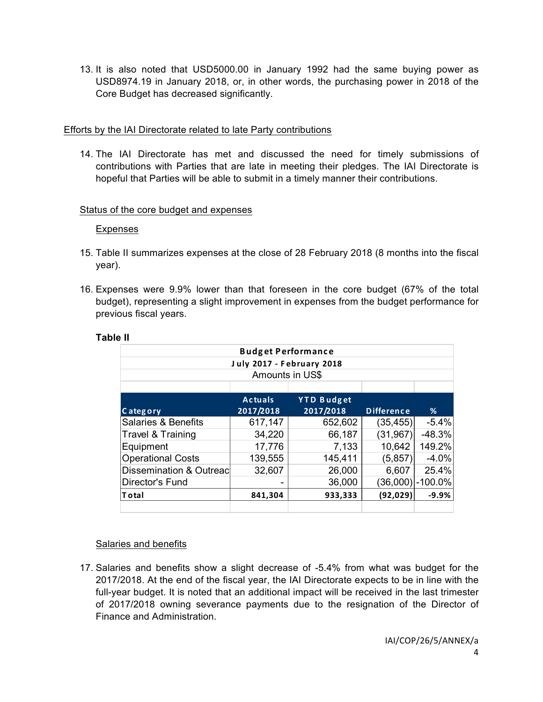13. It is also noted that USD5000.00 in January 1992 had the same buying power as USD8974.19 in January 2018, or, in other words, the purchasing power in 2018 of the Core Budget has decreased significantly.

## Efforts by the IAI Directorate related to late Party contributions

14. The IAI Directorate has met and discussed the need for timely submissions of contributions with Parties that are late in meeting their pledges. The IAI Directorate is hopeful that Parties will be able to submit in a timely manner their contributions.

## Status of the core budget and expenses

## Expenses

- 15. Table II summarizes expenses at the close of 28 February 2018 (8 months into the fiscal year).
- 16. Expenses were 9.9% lower than that foreseen in the core budget (67% of the total budget), representing a slight improvement in expenses from the budget performance for previous fiscal years.

| <b>Budget Performance</b>        |                |                   |                   |                  |  |  |  |  |
|----------------------------------|----------------|-------------------|-------------------|------------------|--|--|--|--|
| <b>July 2017 - February 2018</b> |                |                   |                   |                  |  |  |  |  |
| Amounts in US\$                  |                |                   |                   |                  |  |  |  |  |
|                                  |                |                   |                   |                  |  |  |  |  |
|                                  | <b>Actuals</b> | <b>YTD Budget</b> |                   |                  |  |  |  |  |
| Category                         | 2017/2018      | 2017/2018         | <b>Difference</b> | %                |  |  |  |  |
| Salaries & Benefits              | 617,147        | 652,602           | (35, 455)         | $-5.4%$          |  |  |  |  |
| Travel & Training                | 34,220         | 66,187            | (31, 967)         | $-48.3%$         |  |  |  |  |
| Equipment                        | 17,776         | 7,133             | 10,642            | 149.2%           |  |  |  |  |
| <b>Operational Costs</b>         | 139,555        | 145,411           | (5,857)           | $-4.0%$          |  |  |  |  |
| Dissemination & Outreac          | 32,607         | 26,000            | 6,607             | 25.4%            |  |  |  |  |
| Director's Fund                  |                | 36,000            |                   | (36,000) -100.0% |  |  |  |  |
| $\sf {Total}$                    | 841,304        | 933,333           | (92, 029)         | $-9.9%$          |  |  |  |  |
|                                  |                |                   |                   |                  |  |  |  |  |

#### **Table II**

## Salaries and benefits

17. Salaries and benefits show a slight decrease of -5.4% from what was budget for the 2017/2018. At the end of the fiscal year, the IAI Directorate expects to be in line with the full-year budget. It is noted that an additional impact will be received in the last trimester of 2017/2018 owning severance payments due to the resignation of the Director of Finance and Administration.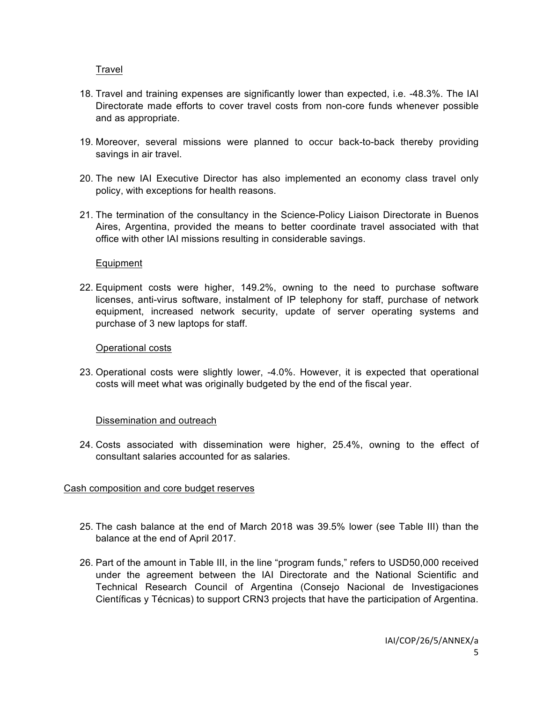Travel

- 18. Travel and training expenses are significantly lower than expected, i.e. -48.3%. The IAI Directorate made efforts to cover travel costs from non-core funds whenever possible and as appropriate.
- 19. Moreover, several missions were planned to occur back-to-back thereby providing savings in air travel.
- 20. The new IAI Executive Director has also implemented an economy class travel only policy, with exceptions for health reasons.
- 21. The termination of the consultancy in the Science-Policy Liaison Directorate in Buenos Aires, Argentina, provided the means to better coordinate travel associated with that office with other IAI missions resulting in considerable savings.

#### Equipment

22. Equipment costs were higher, 149.2%, owning to the need to purchase software licenses, anti-virus software, instalment of IP telephony for staff, purchase of network equipment, increased network security, update of server operating systems and purchase of 3 new laptops for staff.

#### Operational costs

23. Operational costs were slightly lower, -4.0%. However, it is expected that operational costs will meet what was originally budgeted by the end of the fiscal year.

## Dissemination and outreach

24. Costs associated with dissemination were higher, 25.4%, owning to the effect of consultant salaries accounted for as salaries.

## Cash composition and core budget reserves

- 25. The cash balance at the end of March 2018 was 39.5% lower (see Table III) than the balance at the end of April 2017.
- 26. Part of the amount in Table III, in the line "program funds," refers to USD50,000 received under the agreement between the IAI Directorate and the National Scientific and Technical Research Council of Argentina (Consejo Nacional de Investigaciones Científicas y Técnicas) to support CRN3 projects that have the participation of Argentina.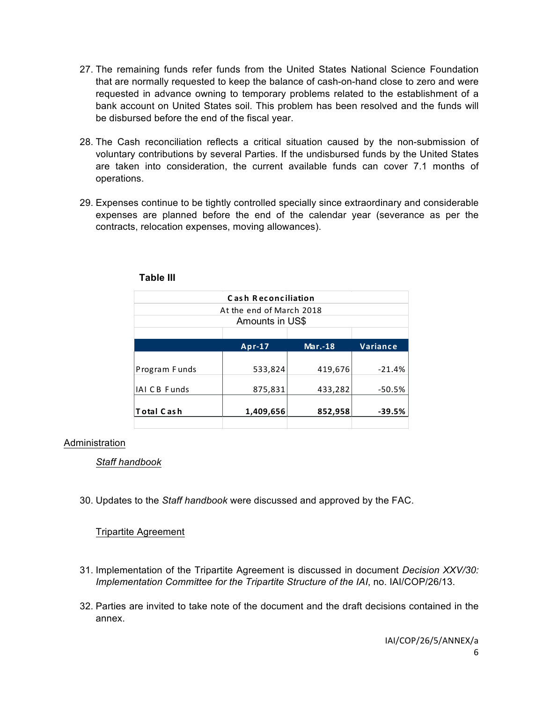- 27. The remaining funds refer funds from the United States National Science Foundation that are normally requested to keep the balance of cash-on-hand close to zero and were requested in advance owning to temporary problems related to the establishment of a bank account on United States soil. This problem has been resolved and the funds will be disbursed before the end of the fiscal year.
- 28. The Cash reconciliation reflects a critical situation caused by the non-submission of voluntary contributions by several Parties. If the undisbursed funds by the United States are taken into consideration, the current available funds can cover 7.1 months of operations.
- 29. Expenses continue to be tightly controlled specially since extraordinary and considerable expenses are planned before the end of the calendar year (severance as per the contracts, relocation expenses, moving allowances).

| <b>Cash Reconciliation</b> |           |                |                 |  |  |  |  |  |
|----------------------------|-----------|----------------|-----------------|--|--|--|--|--|
| At the end of March 2018   |           |                |                 |  |  |  |  |  |
| Amounts in US\$            |           |                |                 |  |  |  |  |  |
|                            |           |                |                 |  |  |  |  |  |
|                            | Apr-17    | <b>Mar.-18</b> | <b>Variance</b> |  |  |  |  |  |
|                            |           |                |                 |  |  |  |  |  |
| Program Funds              | 533,824   | 419,676        | $-21.4%$        |  |  |  |  |  |
|                            |           |                |                 |  |  |  |  |  |
| <b>IAI CB Funds</b>        | 875,831   | 433,282        | $-50.5%$        |  |  |  |  |  |
| Total Cash                 | 1,409,656 | 852,958        | $-39.5%$        |  |  |  |  |  |
|                            |           |                |                 |  |  |  |  |  |

**Table III**

## Administration

*Staff handbook*

30. Updates to the *Staff handbook* were discussed and approved by the FAC.

Tripartite Agreement

- 31. Implementation of the Tripartite Agreement is discussed in document *Decision XXV/30: Implementation Committee for the Tripartite Structure of the IAI*, no. IAI/COP/26/13.
- 32. Parties are invited to take note of the document and the draft decisions contained in the annex.